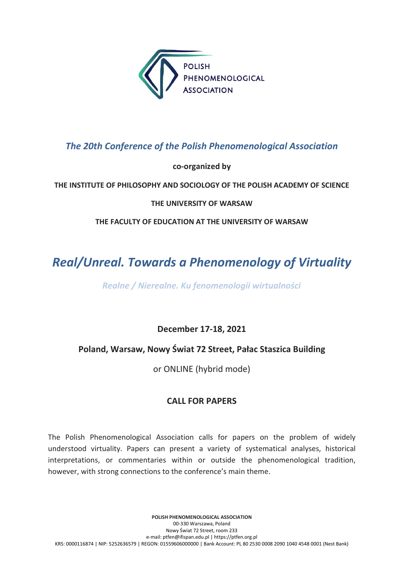

## The 20th Conference of the Polish Phenomenological Association

## co-organized by

## THE INSTITUTE OF PHILOSOPHY AND SOCIOLOGY OF THE POLISH ACADEMY OF SCIENCE

### THE UNIVERSITY OF WARSAW

THE FACULTY OF EDUCATION AT THE UNIVERSITY OF WARSAW

# Real/Unreal. Towards a Phenomenology of Virtuality

Realne / Nierealne. Ku fenomenologii wirtualności

December 17-18, 2021

## Poland, Warsaw, Nowy Świat 72 Street, Pałac Staszica Building

or ONLINE (hybrid mode)

## CALL FOR PAPERS

The Polish Phenomenological Association calls for papers on the problem of widely understood virtuality. Papers can present a variety of systematical analyses, historical interpretations, or commentaries within or outside the phenomenological tradition, however, with strong connections to the conference's main theme.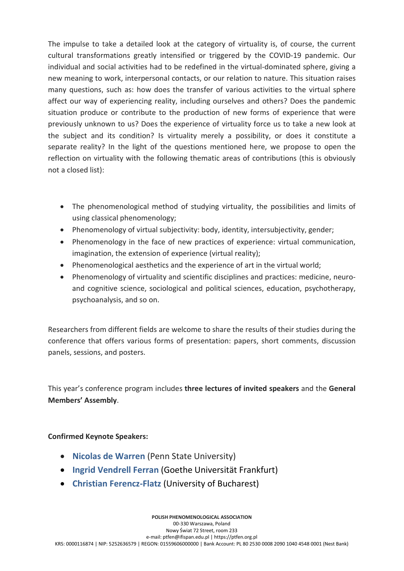The impulse to take a detailed look at the category of virtuality is, of course, the current cultural transformations greatly intensified or triggered by the COVID-19 pandemic. Our individual and social activities had to be redefined in the virtual-dominated sphere, giving a new meaning to work, interpersonal contacts, or our relation to nature. This situation raises many questions, such as: how does the transfer of various activities to the virtual sphere affect our way of experiencing reality, including ourselves and others? Does the pandemic situation produce or contribute to the production of new forms of experience that were previously unknown to us? Does the experience of virtuality force us to take a new look at the subject and its condition? Is virtuality merely a possibility, or does it constitute a separate reality? In the light of the questions mentioned here, we propose to open the reflection on virtuality with the following thematic areas of contributions (this is obviously not a closed list):

- The phenomenological method of studying virtuality, the possibilities and limits of using classical phenomenology;
- Phenomenology of virtual subjectivity: body, identity, intersubjectivity, gender;
- Phenomenology in the face of new practices of experience: virtual communication, imagination, the extension of experience (virtual reality);
- Phenomenological aesthetics and the experience of art in the virtual world;
- Phenomenology of virtuality and scientific disciplines and practices: medicine, neuroand cognitive science, sociological and political sciences, education, psychotherapy, psychoanalysis, and so on.

Researchers from different fields are welcome to share the results of their studies during the conference that offers various forms of presentation: papers, short comments, discussion panels, sessions, and posters.

This year's conference program includes three lectures of invited speakers and the General Members' Assembly.

#### Confirmed Keynote Speakers:

- Nicolas de Warren (Penn State University)
- Ingrid Vendrell Ferran (Goethe Universität Frankfurt)
- Christian Ferencz-Flatz (University of Bucharest)

POLISH PHENOMENOLOGICAL ASSOCIATION